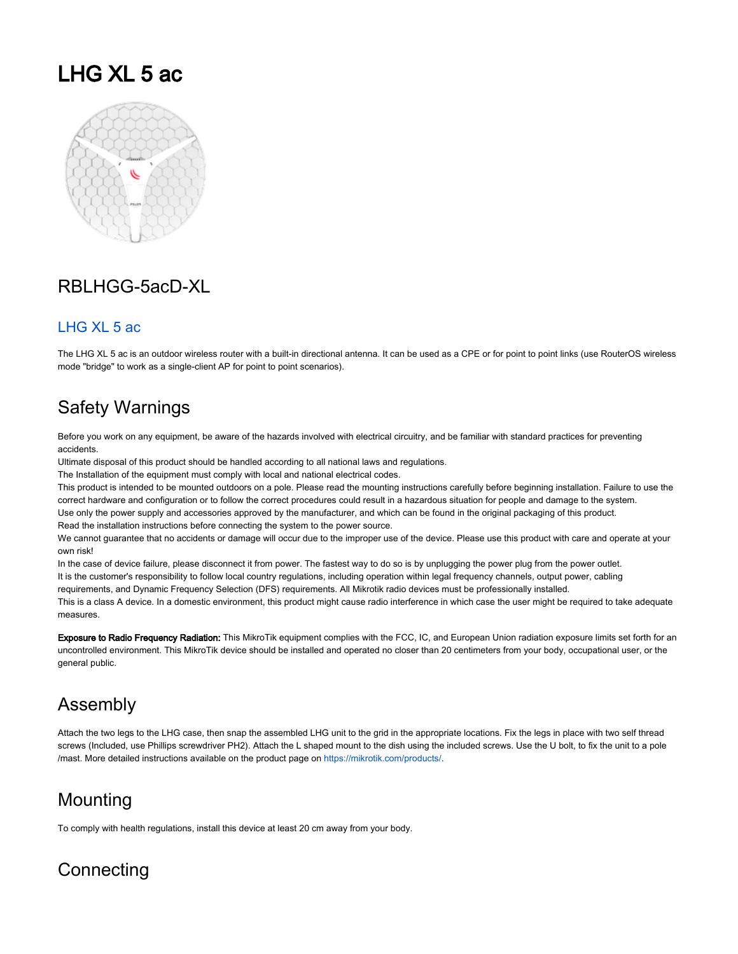# LHG XL 5 ac



## RBLHGG-5acD-XL

### [LHG XL 5 ac](https://mikrotik.com/product/lhg_xl_5_ac)

The LHG XL 5 ac is an outdoor wireless router with a built-in directional antenna. It can be used as a CPE or for point to point links (use RouterOS wireless mode "bridge" to work as a single-client AP for point to point scenarios).

## Safety Warnings

Before you work on any equipment, be aware of the hazards involved with electrical circuitry, and be familiar with standard practices for preventing accidents.

Ultimate disposal of this product should be handled according to all national laws and regulations.

The Installation of the equipment must comply with local and national electrical codes.

This product is intended to be mounted outdoors on a pole. Please read the mounting instructions carefully before beginning installation. Failure to use the correct hardware and configuration or to follow the correct procedures could result in a hazardous situation for people and damage to the system. Use only the power supply and accessories approved by the manufacturer, and which can be found in the original packaging of this product. Read the installation instructions before connecting the system to the power source.

We cannot guarantee that no accidents or damage will occur due to the improper use of the device. Please use this product with care and operate at your own risk!

In the case of device failure, please disconnect it from power. The fastest way to do so is by unplugging the power plug from the power outlet. It is the customer's responsibility to follow local country regulations, including operation within legal frequency channels, output power, cabling requirements, and Dynamic Frequency Selection (DFS) requirements. All Mikrotik radio devices must be professionally installed.

This is a class A device. In a domestic environment, this product might cause radio interference in which case the user might be required to take adequate measures.

Exposure to Radio Frequency Radiation: This MikroTik equipment complies with the FCC, IC, and European Union radiation exposure limits set forth for an uncontrolled environment. This MikroTik device should be installed and operated no closer than 20 centimeters from your body, occupational user, or the general public.

## Assembly

Attach the two legs to the LHG case, then snap the assembled LHG unit to the grid in the appropriate locations. Fix the legs in place with two self thread screws (Included, use Phillips screwdriver PH2). Attach the L shaped mount to the dish using the included screws. Use the U bolt, to fix the unit to a pole /mast. More detailed instructions available on the product page on <https://mikrotik.com/products/>.

## Mounting

To comply with health regulations, install this device at least 20 cm away from your body.

# **Connecting**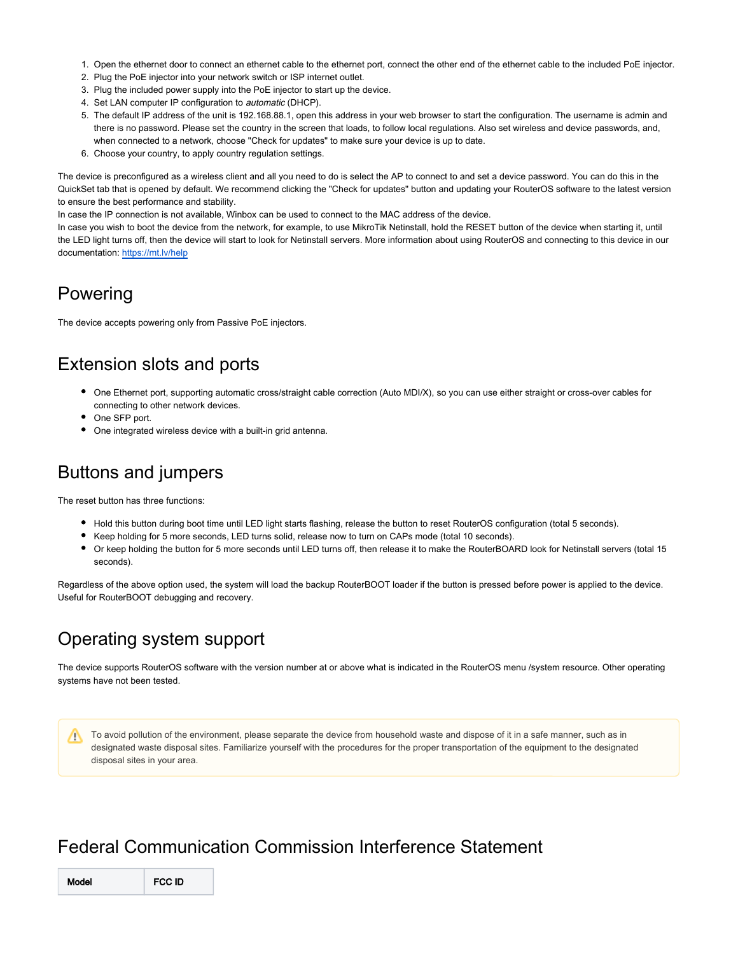- 1. Open the ethernet door to connect an ethernet cable to the ethernet port, connect the other end of the ethernet cable to the included PoE injector.
- 2. Plug the PoE injector into your network switch or ISP internet outlet.
- 3. Plug the included power supply into the PoE injector to start up the device.
- 4. Set LAN computer IP configuration to *automatic* (DHCP).
- 5. The default IP address of the unit is 192.168.88.1, open this address in your web browser to start the configuration. The username is admin and there is no password. Please set the country in the screen that loads, to follow local regulations. Also set wireless and device passwords, and, when connected to a network, choose "Check for updates" to make sure your device is up to date.
- 6. Choose your country, to apply country regulation settings.

The device is preconfigured as a wireless client and all you need to do is select the AP to connect to and set a device password. You can do this in the QuickSet tab that is opened by default. We recommend clicking the "Check for updates" button and updating your RouterOS software to the latest version to ensure the best performance and stability.

In case the IP connection is not available, Winbox can be used to connect to the MAC address of the device.

In case you wish to boot the device from the network, for example, to use MikroTik Netinstall, hold the RESET button of the device when starting it, until the LED light turns off, then the device will start to look for Netinstall servers. More information about using RouterOS and connecting to this device in our documentation:<https://mt.lv/help>

## Powering

The device accepts powering only from Passive PoE injectors.

## Extension slots and ports

- One Ethernet port, supporting automatic cross/straight cable correction (Auto MDI/X), so you can use either straight or cross-over cables for connecting to other network devices.
- One SFP port.
- One integrated wireless device with a built-in grid antenna.

# Buttons and jumpers

The reset button has three functions:

- Hold this button during boot time until LED light starts flashing, release the button to reset RouterOS configuration (total 5 seconds).
- Keep holding for 5 more seconds, LED turns solid, release now to turn on CAPs mode (total 10 seconds).
- Or keep holding the button for 5 more seconds until LED turns off, then release it to make the RouterBOARD look for Netinstall servers (total 15 seconds).

Regardless of the above option used, the system will load the backup RouterBOOT loader if the button is pressed before power is applied to the device. Useful for RouterBOOT debugging and recovery.

## Operating system support

The device supports RouterOS software with the version number at or above what is indicated in the RouterOS menu /system resource. Other operating systems have not been tested.

To avoid pollution of the environment, please separate the device from household waste and dispose of it in a safe manner, such as in Δ designated waste disposal sites. Familiarize yourself with the procedures for the proper transportation of the equipment to the designated disposal sites in your area.

## Federal Communication Commission Interference Statement

Model FCC ID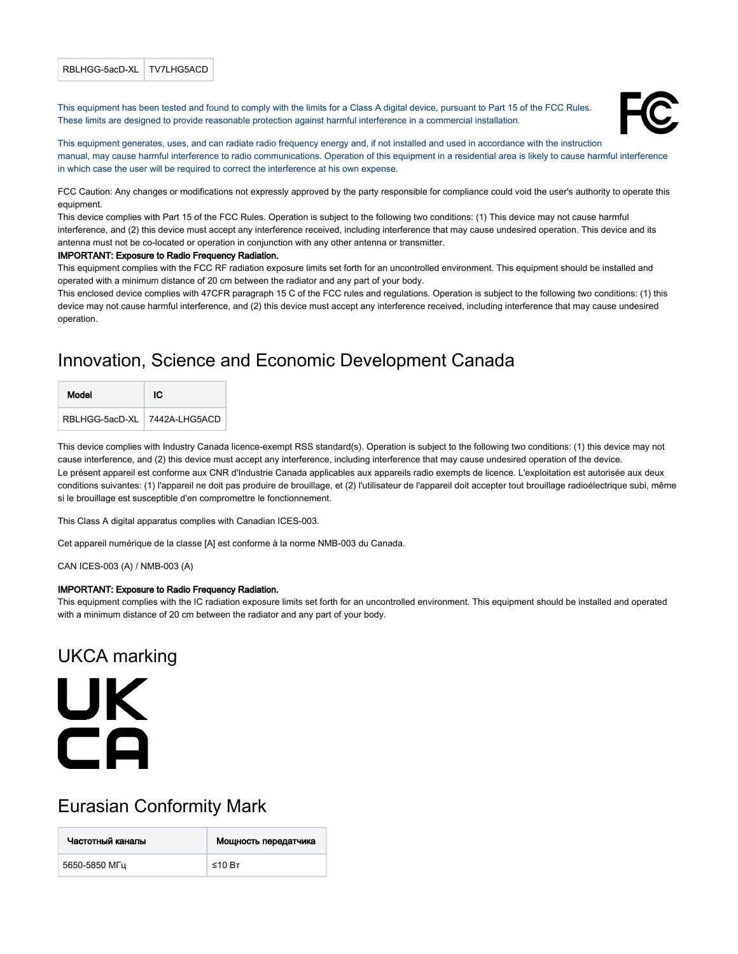#### RBLHGG-5acD-XL TV7LHG5ACD

This equipment has been tested and found to comply with the limits for a Class A digital device, pursuant to Part 15 of the FCC Rules. These limits are designed to provide reasonable protection against harmful interference in a commercial installation.



This equipment generates, uses, and can radiate radio frequency energy and, if not installed and used in accordance with the instruction manual, may cause harmful interference to radio communications. Operation of this equipment in a residential area is likely to cause harmful interference in which case the user will be required to correct the interference at his own expense.

FCC Caution: Any changes or modifications not expressly approved by the party responsible for compliance could void the user's authority to operate this equipment.

This device complies with Part 15 of the FCC Rules. Operation is subject to the following two conditions: (1) This device may not cause harmful interference, and (2) this device must accept any interference received, including interference that may cause undesired operation. This device and its antenna must not be co-located or operation in conjunction with any other antenna or transmitter.

#### IMPORTANT: Exposure to Radio Frequency Radiation.

This equipment complies with the FCC RF radiation exposure limits set forth for an uncontrolled environment. This equipment should be installed and operated with a minimum distance of 20 cm between the radiator and any part of your body.

This enclosed device complies with 47CFR paragraph 15 C of the FCC rules and regulations. Operation is subject to the following two conditions: (1) this device may not cause harmful interference, and (2) this device must accept any interference received, including interference that may cause undesired operation.

## Innovation, Science and Economic Development Canada

| Model                        | ю |
|------------------------------|---|
| RBLHGG-5acD-XL 7442A-LHG5ACD |   |

This device complies with Industry Canada licence-exempt RSS standard(s). Operation is subject to the following two conditions: (1) this device may not cause interference, and (2) this device must accept any interference, including interference that may cause undesired operation of the device. Le présent appareil est conforme aux CNR d'Industrie Canada applicables aux appareils radio exempts de licence. L'exploitation est autorisée aux deux conditions suivantes: (1) l'appareil ne doit pas produire de brouillage, et (2) l'utilisateur de l'appareil doit accepter tout brouillage radioélectrique subi, même si le brouillage est susceptible d'en compromettre le fonctionnement.

This Class A digital apparatus complies with Canadian ICES-003.

Cet appareil numérique de la classe [A] est conforme à la norme NMB-003 du Canada.

CAN ICES-003 (A) / NMB-003 (A)

#### IMPORTANT: Exposure to Radio Frequency Radiation.

This equipment complies with the IC radiation exposure limits set forth for an uncontrolled environment. This equipment should be installed and operated with a minimum distance of 20 cm between the radiator and any part of your body.

## UKCA marking

# **UK**  $\overline{\mathsf{C}}$ A

## Eurasian Conformity Mark

| Частотный каналы | Мощность передатчика |
|------------------|----------------------|
| 5650-5850 MFu    | ≤10 Вт               |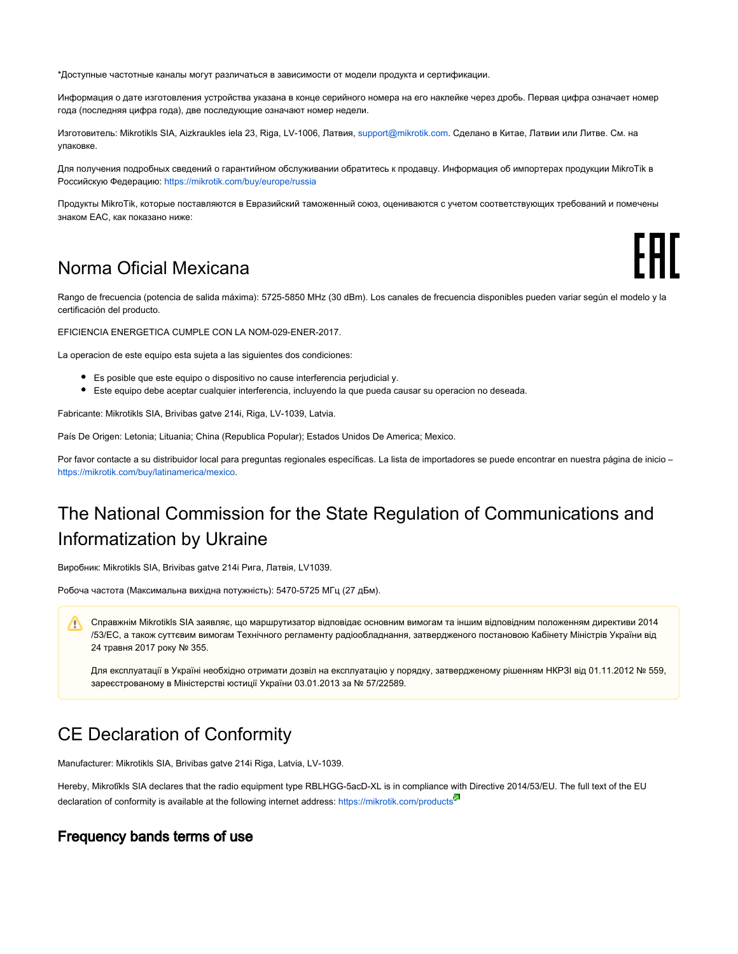\*Доступные частотные каналы могут различаться в зависимости от модели продукта и сертификации.

Информация о дате изготовления устройства указана в конце серийного номера на его наклейке через дробь. Первая цифра означает номер года (последняя цифра года), две последующие означают номер недели.

Изготовитель: Mikrotikls SIA, Aizkraukles iela 23, Riga, LV-1006, Латвия, [support@mikrotik.com.](mailto:support@mikrotik.com) Сделано в Китае, Латвии или Литве. Cм. на упаковке.

Для получения подробных сведений о гарантийном обслуживании обратитесь к продавцу. Информация об импортерах продукции MikroTik в Российскую Федерацию:<https://mikrotik.com/buy/europe/russia>

Продукты MikroTik, которые поставляются в Евразийский таможенный союз, оцениваются с учетом соответствующих требований и помечены знаком EAC, как показано ниже:

## Norma Oficial Mexicana

Rango de frecuencia (potencia de salida máxima): 5725-5850 MHz (30 dBm). Los canales de frecuencia disponibles pueden variar según el modelo y la certificación del producto.

FHT

EFICIENCIA ENERGETICA CUMPLE CON LA NOM-029-ENER-2017.

La operacion de este equipo esta sujeta a las siguientes dos condiciones:

- Es posible que este equipo o dispositivo no cause interferencia perjudicial y.
- Este equipo debe aceptar cualquier interferencia, incluyendo la que pueda causar su operacion no deseada.

Fabricante: Mikrotikls SIA, Brivibas gatve 214i, Riga, LV-1039, Latvia.

País De Origen: Letonia; Lituania; China (Republica Popular); Estados Unidos De America; Mexico.

Por favor contacte a su distribuidor local para preguntas regionales específicas. La lista de importadores se puede encontrar en nuestra página de inicio – <https://mikrotik.com/buy/latinamerica/mexico>.

# The National Commission for the State Regulation of Communications and Informatization by Ukraine

Виробник: Mikrotikls SIA, Brivibas gatve 214i Рига, Латвія, LV1039.

Робоча частота (Максимальна вихідна потужність): 5470-5725 МГц (27 дБм).

Справжнім Mikrotikls SIA заявляє, що маршрутизатор відповідає основним вимогам та іншим відповідним положенням директиви 2014 /53/EC, а також суттєвим вимогам Технічного регламенту радіообладнання, затвердженого постановою Кабінету Міністрів України від 24 травня 2017 року № 355.

Для експлуатації в Україні необхідно отримати дозвіл на експлуатацію у порядку, затвердженому рішенням НКРЗІ від 01.11.2012 № 559, зареєстрованому в Міністерстві юстиції України 03.01.2013 за № 57/22589.

## CE Declaration of Conformity

Manufacturer: Mikrotikls SIA, Brivibas gatve 214i Riga, Latvia, LV-1039.

Hereby, Mikrotīkls SIA declares that the radio equipment type RBLHGG-5acD-XL is in compliance with Directive 2014/53/EU. The full text of the EU declaration of conformity is available at the following internet address: <https://mikrotik.com/products><sup>57</sup>

#### Frequency bands terms of use